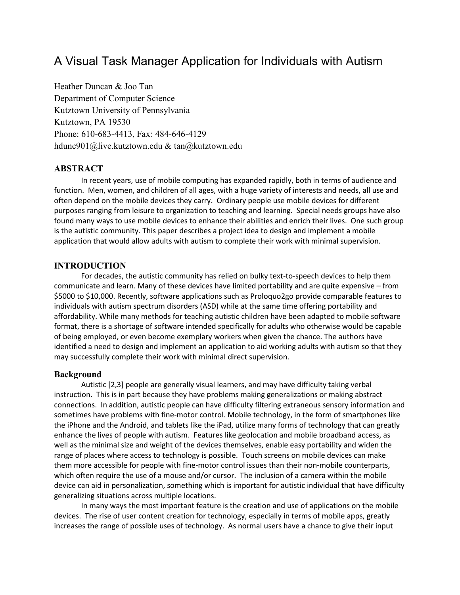# A Visual Task Manager Application for Individuals with Autism

Heather Duncan & Joo Tan Department of Computer Science Kutztown University of Pennsylvania Kutztown, PA 19530 Phone: 610-683-4413, Fax: 484-646-4129 hdunc901@live.kutztown.edu & tan@kutztown.edu

# **ABSTRACT**

 In recent years, use of mobile computing has expanded rapidly, both in terms of audience and function. Men, women, and children of all ages, with a huge variety of interests and needs, all use and often depend on the mobile devices they carry. Ordinary people use mobile devices for different purposes ranging from leisure to organization to teaching and learning. Special needs groups have also found many ways to use mobile devices to enhance their abilities and enrich their lives. One such group is the autistic community. This paper describes a project idea to design and implement a mobile application that would allow adults with autism to complete their work with minimal supervision.

# **INTRODUCTION**

 For decades, the autistic community has relied on bulky text-to-speech devices to help them communicate and learn. Many of these devices have limited portability and are quite expensive – from \$5000 to \$10,000. Recently, software applications such as Proloquo2go provide comparable features to individuals with autism spectrum disorders (ASD) while at the same time offering portability and affordability. While many methods for teaching autistic children have been adapted to mobile software format, there is a shortage of software intended specifically for adults who otherwise would be capable of being employed, or even become exemplary workers when given the chance. The authors have identified a need to design and implement an application to aid working adults with autism so that they may successfully complete their work with minimal direct supervision.

## **Background**

 Autistic [2,3] people are generally visual learners, and may have difficulty taking verbal instruction. This is in part because they have problems making generalizations or making abstract connections. In addition, autistic people can have difficulty filtering extraneous sensory information and sometimes have problems with fine-motor control. Mobile technology, in the form of smartphones like the iPhone and the Android, and tablets like the iPad, utilize many forms of technology that can greatly enhance the lives of people with autism. Features like geolocation and mobile broadband access, as well as the minimal size and weight of the devices themselves, enable easy portability and widen the range of places where access to technology is possible. Touch screens on mobile devices can make them more accessible for people with fine-motor control issues than their non-mobile counterparts, which often require the use of a mouse and/or cursor. The inclusion of a camera within the mobile device can aid in personalization, something which is important for autistic individual that have difficulty generalizing situations across multiple locations.

 In many ways the most important feature is the creation and use of applications on the mobile devices. The rise of user content creation for technology, especially in terms of mobile apps, greatly increases the range of possible uses of technology. As normal users have a chance to give their input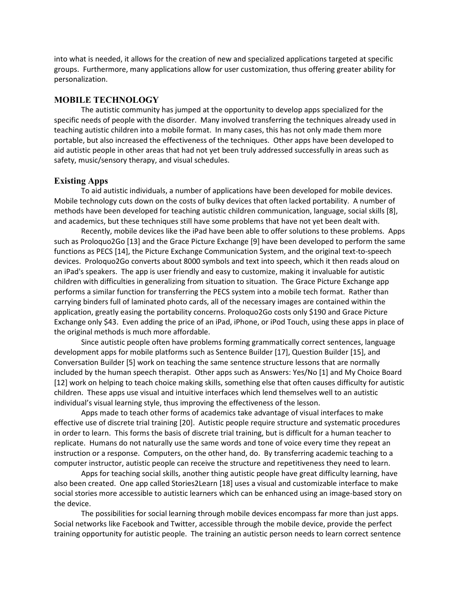into what is needed, it allows for the creation of new and specialized applications targeted at specific groups. Furthermore, many applications allow for user customization, thus offering greater ability for personalization.

# **MOBILE TECHNOLOGY**

 The autistic community has jumped at the opportunity to develop apps specialized for the specific needs of people with the disorder. Many involved transferring the techniques already used in teaching autistic children into a mobile format. In many cases, this has not only made them more portable, but also increased the effectiveness of the techniques. Other apps have been developed to aid autistic people in other areas that had not yet been truly addressed successfully in areas such as safety, music/sensory therapy, and visual schedules.

### **Existing Apps**

To aid autistic individuals, a number of applications have been developed for mobile devices. Mobile technology cuts down on the costs of bulky devices that often lacked portability. A number of methods have been developed for teaching autistic children communication, language, social skills [8], and academics, but these techniques still have some problems that have not yet been dealt with.

Recently, mobile devices like the iPad have been able to offer solutions to these problems. Apps such as Proloquo2Go [13] and the Grace Picture Exchange [9] have been developed to perform the same functions as PECS [14], the Picture Exchange Communication System, and the original text-to-speech devices. Proloquo2Go converts about 8000 symbols and text into speech, which it then reads aloud on an iPad's speakers. The app is user friendly and easy to customize, making it invaluable for autistic children with difficulties in generalizing from situation to situation. The Grace Picture Exchange app performs a similar function for transferring the PECS system into a mobile tech format. Rather than carrying binders full of laminated photo cards, all of the necessary images are contained within the application, greatly easing the portability concerns. Proloquo2Go costs only \$190 and Grace Picture Exchange only \$43. Even adding the price of an iPad, iPhone, or iPod Touch, using these apps in place of the original methods is much more affordable.

Since autistic people often have problems forming grammatically correct sentences, language development apps for mobile platforms such as Sentence Builder [17], Question Builder [15], and Conversation Builder [5] work on teaching the same sentence structure lessons that are normally included by the human speech therapist. Other apps such as Answers: Yes/No [1] and My Choice Board [12] work on helping to teach choice making skills, something else that often causes difficulty for autistic children. These apps use visual and intuitive interfaces which lend themselves well to an autistic individual's visual learning style, thus improving the effectiveness of the lesson.

Apps made to teach other forms of academics take advantage of visual interfaces to make effective use of discrete trial training [20]. Autistic people require structure and systematic procedures in order to learn. This forms the basis of discrete trial training, but is difficult for a human teacher to replicate. Humans do not naturally use the same words and tone of voice every time they repeat an instruction or a response. Computers, on the other hand, do. By transferring academic teaching to a computer instructor, autistic people can receive the structure and repetitiveness they need to learn.

 Apps for teaching social skills, another thing autistic people have great difficulty learning, have also been created. One app called Stories2Learn [18] uses a visual and customizable interface to make social stories more accessible to autistic learners which can be enhanced using an image-based story on the device.

 The possibilities for social learning through mobile devices encompass far more than just apps. Social networks like Facebook and Twitter, accessible through the mobile device, provide the perfect training opportunity for autistic people. The training an autistic person needs to learn correct sentence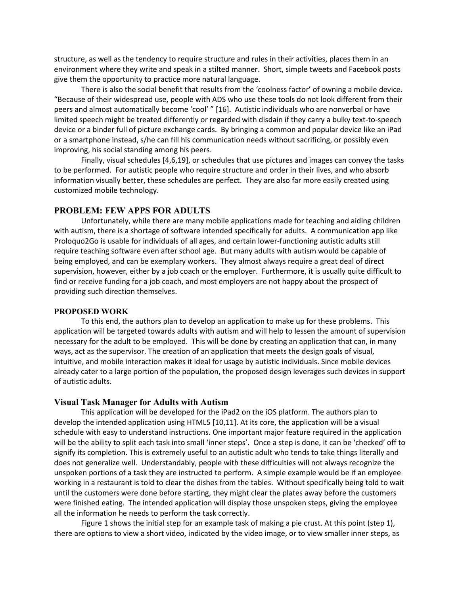structure, as well as the tendency to require structure and rules in their activities, places them in an environment where they write and speak in a stilted manner. Short, simple tweets and Facebook posts give them the opportunity to practice more natural language.

 There is also the social benefit that results from the 'coolness factor' of owning a mobile device. "Because of their widespread use, people with ADS who use these tools do not look different from their peers and almost automatically become 'cool' " [16]. Autistic individuals who are nonverbal or have limited speech might be treated differently or regarded with disdain if they carry a bulky text-to-speech device or a binder full of picture exchange cards. By bringing a common and popular device like an iPad or a smartphone instead, s/he can fill his communication needs without sacrificing, or possibly even improving, his social standing among his peers.

 Finally, visual schedules [4,6,19], or schedules that use pictures and images can convey the tasks to be performed. For autistic people who require structure and order in their lives, and who absorb information visually better, these schedules are perfect. They are also far more easily created using customized mobile technology.

# **PROBLEM: FEW APPS FOR ADULTS**

 Unfortunately, while there are many mobile applications made for teaching and aiding children with autism, there is a shortage of software intended specifically for adults. A communication app like Proloquo2Go is usable for individuals of all ages, and certain lower-functioning autistic adults still require teaching software even after school age. But many adults with autism would be capable of being employed, and can be exemplary workers. They almost always require a great deal of direct supervision, however, either by a job coach or the employer. Furthermore, it is usually quite difficult to find or receive funding for a job coach, and most employers are not happy about the prospect of providing such direction themselves.

#### **PROPOSED WORK**

 To this end, the authors plan to develop an application to make up for these problems. This application will be targeted towards adults with autism and will help to lessen the amount of supervision necessary for the adult to be employed. This will be done by creating an application that can, in many ways, act as the supervisor. The creation of an application that meets the design goals of visual, intuitive, and mobile interaction makes it ideal for usage by autistic individuals. Since mobile devices already cater to a large portion of the population, the proposed design leverages such devices in support of autistic adults.

#### **Visual Task Manager for Adults with Autism**

 This application will be developed for the iPad2 on the iOS platform. The authors plan to develop the intended application using HTML5 [10,11]. At its core, the application will be a visual schedule with easy to understand instructions. One important major feature required in the application will be the ability to split each task into small 'inner steps'. Once a step is done, it can be 'checked' off to signify its completion. This is extremely useful to an autistic adult who tends to take things literally and does not generalize well. Understandably, people with these difficulties will not always recognize the unspoken portions of a task they are instructed to perform. A simple example would be if an employee working in a restaurant is told to clear the dishes from the tables. Without specifically being told to wait until the customers were done before starting, they might clear the plates away before the customers were finished eating. The intended application will display those unspoken steps, giving the employee all the information he needs to perform the task correctly.

 Figure 1 shows the initial step for an example task of making a pie crust. At this point (step 1), there are options to view a short video, indicated by the video image, or to view smaller inner steps, as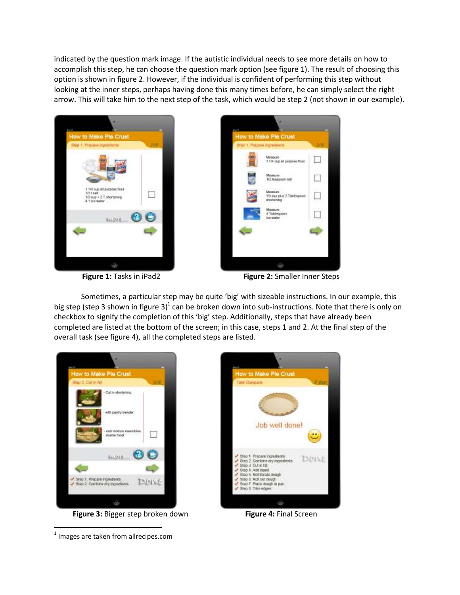indicated by the question mark image. If the autistic individual needs to see more details on how to accomplish this step, he can choose the question mark option (see figure 1). The result of choosing this option is shown in figure 2. However, if the individual is confident of performing this step without looking at the inner steps, perhaps having done this many times before, he can simply select the right arrow. This will take him to the next step of the task, which would be step 2 (not shown in our example).





**Figure 1:** Tasks in iPad2 Figure 2: Smaller Inner Steps

 Sometimes, a particular step may be quite 'big' with sizeable instructions. In our example, this big step (step 3 shown in figure 3)<sup>1</sup> can be broken down into sub-instructions. Note that there is only on checkbox to signify the completion of this 'big' step. Additionally, steps that have already been completed are listed at the bottom of the screen; in this case, steps 1 and 2. At the final step of the overall task (see figure 4), all the completed steps are listed.



**Figure 3: Bigger step broken down** Figure 4: Final Screen



 $<sup>1</sup>$  Images are taken from allrecipes.com</sup>

 $\overline{\phantom{0}}$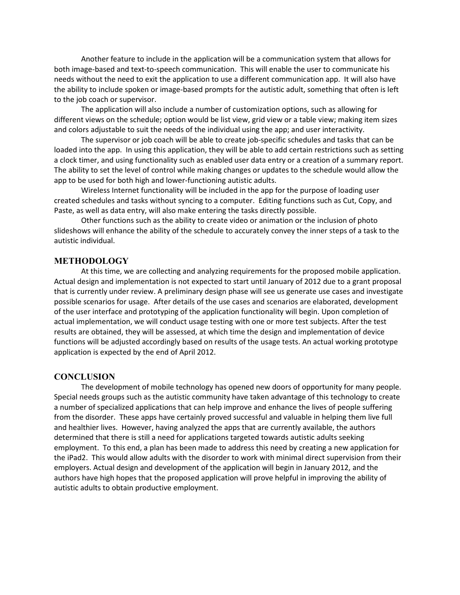Another feature to include in the application will be a communication system that allows for both image-based and text-to-speech communication. This will enable the user to communicate his needs without the need to exit the application to use a different communication app. It will also have the ability to include spoken or image-based prompts for the autistic adult, something that often is left to the job coach or supervisor.

 The application will also include a number of customization options, such as allowing for different views on the schedule; option would be list view, grid view or a table view; making item sizes and colors adjustable to suit the needs of the individual using the app; and user interactivity.

The supervisor or job coach will be able to create job-specific schedules and tasks that can be loaded into the app. In using this application, they will be able to add certain restrictions such as setting a clock timer, and using functionality such as enabled user data entry or a creation of a summary report. The ability to set the level of control while making changes or updates to the schedule would allow the app to be used for both high and lower-functioning autistic adults.

 Wireless Internet functionality will be included in the app for the purpose of loading user created schedules and tasks without syncing to a computer. Editing functions such as Cut, Copy, and Paste, as well as data entry, will also make entering the tasks directly possible.

Other functions such as the ability to create video or animation or the inclusion of photo slideshows will enhance the ability of the schedule to accurately convey the inner steps of a task to the autistic individual.

## **METHODOLOGY**

 At this time, we are collecting and analyzing requirements for the proposed mobile application. Actual design and implementation is not expected to start until January of 2012 due to a grant proposal that is currently under review. A preliminary design phase will see us generate use cases and investigate possible scenarios for usage. After details of the use cases and scenarios are elaborated, development of the user interface and prototyping of the application functionality will begin. Upon completion of actual implementation, we will conduct usage testing with one or more test subjects. After the test results are obtained, they will be assessed, at which time the design and implementation of device functions will be adjusted accordingly based on results of the usage tests. An actual working prototype application is expected by the end of April 2012.

#### **CONCLUSION**

 The development of mobile technology has opened new doors of opportunity for many people. Special needs groups such as the autistic community have taken advantage of this technology to create a number of specialized applications that can help improve and enhance the lives of people suffering from the disorder. These apps have certainly proved successful and valuable in helping them live full and healthier lives. However, having analyzed the apps that are currently available, the authors determined that there is still a need for applications targeted towards autistic adults seeking employment. To this end, a plan has been made to address this need by creating a new application for the iPad2. This would allow adults with the disorder to work with minimal direct supervision from their employers. Actual design and development of the application will begin in January 2012, and the authors have high hopes that the proposed application will prove helpful in improving the ability of autistic adults to obtain productive employment.